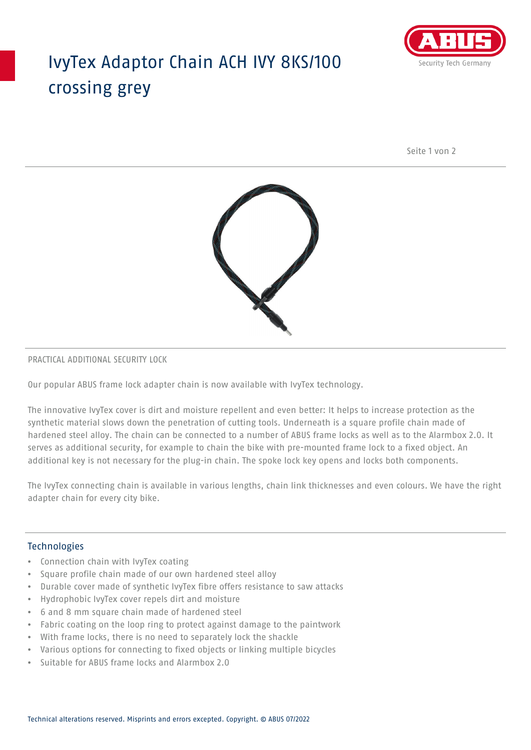## IvyTex Adaptor Chain ACH IVY 8KS/100 crossing grey



Seite 1 von 2



#### PRACTICAL ADDITIONAL SECURITY LOCK

Our popular ABUS frame lock adapter chain is now available with IvyTex technology.

The innovative IvyTex cover is dirt and moisture repellent and even better: It helps to increase protection as the synthetic material slows down the penetration of cutting tools. Underneath is a square profile chain made of hardened steel alloy. The chain can be connected to a number of ABUS frame locks as well as to the Alarmbox 2.0. It serves as additional security, for example to chain the bike with pre-mounted frame lock to a fixed object. An additional key is not necessary for the plug-in chain. The spoke lock key opens and locks both components.

The IvyTex connecting chain is available in various lengths, chain link thicknesses and even colours. We have the right adapter chain for every city bike.

### Technologies

- Connection chain with IvyTex coating
- Square profile chain made of our own hardened steel alloy
- Durable cover made of synthetic IvyTex fibre offers resistance to saw attacks
- Hydrophobic IvyTex cover repels dirt and moisture
- 6 and 8 mm square chain made of hardened steel
- Fabric coating on the loop ring to protect against damage to the paintwork
- With frame locks, there is no need to separately lock the shackle
- Various options for connecting to fixed objects or linking multiple bicycles
- Suitable for ABUS frame locks and Alarmbox 2.0